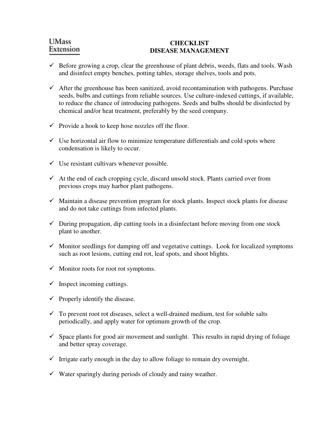# **UMass** Extension

#### **CHECKLIST DISEASE MANAGEMENT**

- $\checkmark$  Before growing a crop, clear the greenhouse of plant debris, weeds, flats and tools. Wash and disinfect empty benches, potting tables, storage shelves, tools and pots.
- $\checkmark$  After the greenhouse has been sanitized, avoid recontamination with pathogens. Purchase seeds, bulbs and cuttings from reliable sources. Use culture-indexed cuttings, if available, to reduce the chance of introducing pathogens. Seeds and bulbs should be disinfected by chemical and/or heat treatment, preferably by the seed company.
- $\checkmark$  Provide a hook to keep hose nozzles off the floor.
- $\checkmark$  Use horizontal air flow to minimize temperature differentials and cold spots where condensation is likely to occur.
- $\checkmark$  Use resistant cultivars whenever possible.
- $\checkmark$  At the end of each cropping cycle, discard unsold stock. Plants carried over from previous crops may harbor plant pathogens.
- $\checkmark$  Maintain a disease prevention program for stock plants. Inspect stock plants for disease and do not take cuttings from infected plants.
- $\checkmark$  During propagation, dip cutting tools in a disinfectant before moving from one stock plant to another.
- $\checkmark$  Monitor seedlings for damping off and vegetative cuttings. Look for localized symptoms such as root lesions, cutting end rot, leaf spots, and shoot blights.
- $\checkmark$  Monitor roots for root rot symptoms.
- $\checkmark$  Inspect incoming cuttings.
- $\checkmark$  Properly identify the disease.
- $\checkmark$  To prevent root rot diseases, select a well-drained medium, test for soluble salts periodically, and apply water for optimum growth of the crop.
- $\checkmark$  Space plants for good air movement and sunlight. This results in rapid drying of foliage and better spray coverage.
- $\checkmark$  Irrigate early enough in the day to allow foliage to remain dry overnight.
- $\checkmark$  Water sparingly during periods of cloudy and rainy weather.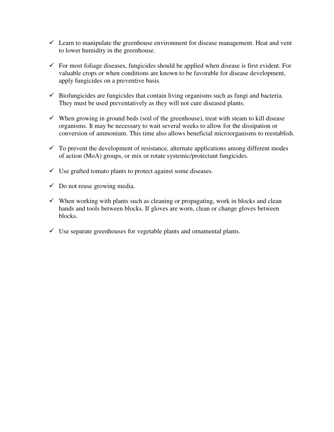- $\checkmark$  Learn to manipulate the greenhouse environment for disease management. Heat and vent to lower humidity in the greenhouse.
- $\checkmark$  For most foliage diseases, fungicides should be applied when disease is first evident. For valuable crops or when conditions are known to be favorable for disease development, apply fungicides on a preventive basis.
- $\checkmark$  Biofungicides are fungicides that contain living organisms such as fungi and bacteria. They must be used preventatively as they will not cure diseased plants.
- $\checkmark$  When growing in ground beds (soil of the greenhouse), treat with steam to kill disease organisms. It may be necessary to wait several weeks to allow for the dissipation or conversion of ammonium. This time also allows beneficial microorganisms to reestablish.
- $\checkmark$  To prevent the development of resistance, alternate applications among different modes of action (MoA) groups, or mix or rotate systemic/protectant fungicides.
- $\checkmark$  Use grafted tomato plants to protect against some diseases.
- $\checkmark$  Do not reuse growing media.
- $\checkmark$  When working with plants such as cleaning or propagating, work in blocks and clean hands and tools between blocks. If gloves are worn, clean or change gloves between blocks.
- $\checkmark$  Use separate greenhouses for vegetable plants and ornamental plants.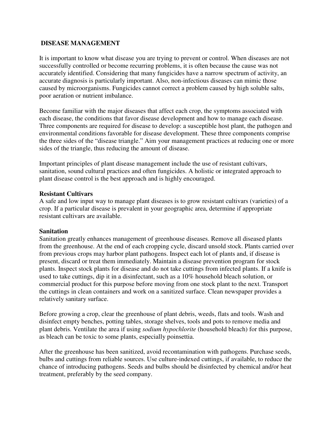### **DISEASE MANAGEMENT**

It is important to know what disease you are trying to prevent or control. When diseases are not successfully controlled or become recurring problems, it is often because the cause was not accurately identified. Considering that many fungicides have a narrow spectrum of activity, an accurate diagnosis is particularly important. Also, non-infectious diseases can mimic those caused by microorganisms. Fungicides cannot correct a problem caused by high soluble salts, poor aeration or nutrient imbalance.

Become familiar with the major diseases that affect each crop, the symptoms associated with each disease, the conditions that favor disease development and how to manage each disease. Three components are required for disease to develop: a susceptible host plant, the pathogen and environmental conditions favorable for disease development. These three components comprise the three sides of the "disease triangle." Aim your management practices at reducing one or more sides of the triangle, thus reducing the amount of disease.

Important principles of plant disease management include the use of resistant cultivars, sanitation, sound cultural practices and often fungicides. A holistic or integrated approach to plant disease control is the best approach and is highly encouraged.

### **Resistant Cultivars**

A safe and low input way to manage plant diseases is to grow resistant cultivars (varieties) of a crop. If a particular disease is prevalent in your geographic area, determine if appropriate resistant cultivars are available.

### **Sanitation**

Sanitation greatly enhances management of greenhouse diseases. Remove all diseased plants from the greenhouse. At the end of each cropping cycle, discard unsold stock. Plants carried over from previous crops may harbor plant pathogens. Inspect each lot of plants and, if disease is present, discard or treat them immediately. Maintain a disease prevention program for stock plants. Inspect stock plants for disease and do not take cuttings from infected plants. If a knife is used to take cuttings, dip it in a disinfectant, such as a 10% household bleach solution, or commercial product for this purpose before moving from one stock plant to the next. Transport the cuttings in clean containers and work on a sanitized surface. Clean newspaper provides a relatively sanitary surface.

Before growing a crop, clear the greenhouse of plant debris, weeds, flats and tools. Wash and disinfect empty benches, potting tables, storage shelves, tools and pots to remove media and plant debris. Ventilate the area if using *sodium hypochlorite* (household bleach) for this purpose, as bleach can be toxic to some plants, especially poinsettia.

After the greenhouse has been sanitized, avoid recontamination with pathogens. Purchase seeds, bulbs and cuttings from reliable sources. Use culture-indexed cuttings, if available, to reduce the chance of introducing pathogens. Seeds and bulbs should be disinfected by chemical and/or heat treatment, preferably by the seed company.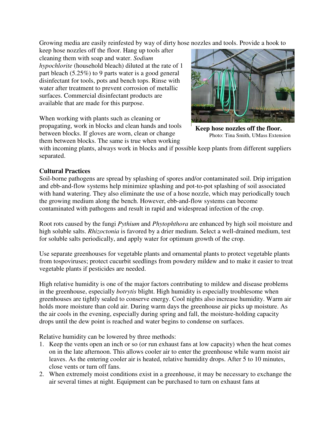Growing media are easily reinfested by way of dirty hose nozzles and tools. Provide a hook to

keep hose nozzles off the floor. Hang up tools after cleaning them with soap and water. *Sodium hypochlorite* (household bleach) diluted at the rate of 1 part bleach (5.25%) to 9 parts water is a good general disinfectant for tools, pots and bench tops. Rinse with water after treatment to prevent corrosion of metallic surfaces. Commercial disinfectant products are available that are made for this purpose.

When working with plants such as cleaning or propagating, work in blocks and clean hands and tools between blocks. If gloves are worn, clean or change them between blocks. The same is true when working



**Keep hose nozzles off the floor.**  Photo: Tina Smith, UMass Extension

with incoming plants, always work in blocks and if possible keep plants from different suppliers separated.

# **Cultural Practices**

Soil-borne pathogens are spread by splashing of spores and/or contaminated soil. Drip irrigation and ebb-and-flow systems help minimize splashing and pot-to-pot splashing of soil associated with hand watering. They also eliminate the use of a hose nozzle, which may periodically touch the growing medium along the bench. However, ebb-and-flow systems can become contaminated with pathogens and result in rapid and widespread infection of the crop.

Root rots caused by the fungi *Pythium* and *Phytophthora* are enhanced by high soil moisture and high soluble salts. *Rhizoctonia* is favored by a drier medium. Select a well-drained medium, test for soluble salts periodically, and apply water for optimum growth of the crop.

Use separate greenhouses for vegetable plants and ornamental plants to protect vegetable plants from tospoviruses; protect cucurbit seedlings from powdery mildew and to make it easier to treat vegetable plants if pesticides are needed.

High relative humidity is one of the major factors contributing to mildew and disease problems in the greenhouse, especially *botrytis* blight. High humidity is especially troublesome when greenhouses are tightly sealed to conserve energy. Cool nights also increase humidity. Warm air holds more moisture than cold air. During warm days the greenhouse air picks up moisture. As the air cools in the evening, especially during spring and fall, the moisture-holding capacity drops until the dew point is reached and water begins to condense on surfaces.

Relative humidity can be lowered by three methods:

- 1. Keep the vents open an inch or so (or run exhaust fans at low capacity) when the heat comes on in the late afternoon. This allows cooler air to enter the greenhouse while warm moist air leaves. As the entering cooler air is heated, relative humidity drops. After 5 to 10 minutes, close vents or turn off fans.
- 2. When extremely moist conditions exist in a greenhouse, it may be necessary to exchange the air several times at night. Equipment can be purchased to turn on exhaust fans at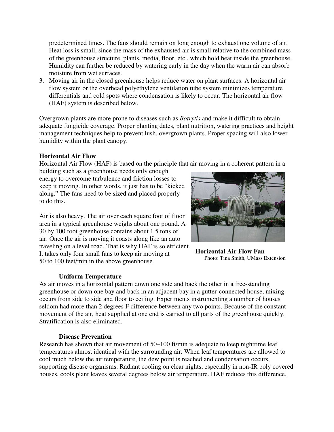predetermined times. The fans should remain on long enough to exhaust one volume of air. Heat loss is small, since the mass of the exhausted air is small relative to the combined mass of the greenhouse structure, plants, media, floor, etc., which hold heat inside the greenhouse. Humidity can further be reduced by watering early in the day when the warm air can absorb moisture from wet surfaces.

3. Moving air in the closed greenhouse helps reduce water on plant surfaces. A horizontal air flow system or the overhead polyethylene ventilation tube system minimizes temperature differentials and cold spots where condensation is likely to occur. The horizontal air flow (HAF) system is described below.

Overgrown plants are more prone to diseases such as *Botrytis* and make it difficult to obtain adequate fungicide coverage. Proper planting dates, plant nutrition, watering practices and height management techniques help to prevent lush, overgrown plants. Proper spacing will also lower humidity within the plant canopy.

## **Horizontal Air Flow**

Horizontal Air Flow (HAF) is based on the principle that air moving in a coherent pattern in a

building such as a greenhouse needs only enough energy to overcome turbulence and friction losses to keep it moving. In other words, it just has to be "kicked along." The fans need to be sized and placed properly to do this.

Air is also heavy. The air over each square foot of floor area in a typical greenhouse weighs about one pound. A 30 by 100 foot greenhouse contains about 1.5 tons of air. Once the air is moving it coasts along like an auto traveling on a level road. That is why HAF is so efficient. It takes only four small fans to keep air moving at 50 to 100 feet/min in the above greenhouse.

# **Uniform Temperature**



**Horizontal Air Flow Fan**  Photo: Tina Smith, UMass Extension

As air moves in a horizontal pattern down one side and back the other in a free-standing greenhouse or down one bay and back in an adjacent bay in a gutter-connected house, mixing occurs from side to side and floor to ceiling. Experiments instrumenting a number of houses seldom had more than 2 degrees F difference between any two points. Because of the constant movement of the air, heat supplied at one end is carried to all parts of the greenhouse quickly. Stratification is also eliminated.

# **Disease Prevention**

Research has shown that air movement of 50–100 ft/min is adequate to keep nighttime leaf temperatures almost identical with the surrounding air. When leaf temperatures are allowed to cool much below the air temperature, the dew point is reached and condensation occurs, supporting disease organisms. Radiant cooling on clear nights, especially in non-IR poly covered houses, cools plant leaves several degrees below air temperature. HAF reduces this difference.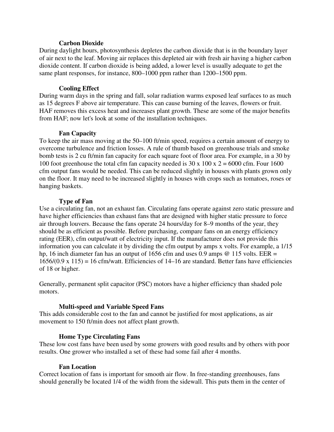#### **Carbon Dioxide**

During daylight hours, photosynthesis depletes the carbon dioxide that is in the boundary layer of air next to the leaf. Moving air replaces this depleted air with fresh air having a higher carbon dioxide content. If carbon dioxide is being added, a lower level is usually adequate to get the same plant responses, for instance, 800–1000 ppm rather than 1200–1500 ppm.

### **Cooling Effect**

During warm days in the spring and fall, solar radiation warms exposed leaf surfaces to as much as 15 degrees F above air temperature. This can cause burning of the leaves, flowers or fruit. HAF removes this excess heat and increases plant growth. These are some of the major benefits from HAF; now let's look at some of the installation techniques.

### **Fan Capacity**

To keep the air mass moving at the 50–100 ft/min speed, requires a certain amount of energy to overcome turbulence and friction losses. A rule of thumb based on greenhouse trials and smoke bomb tests is 2 cu ft/min fan capacity for each square foot of floor area. For example, in a 30 by 100 foot greenhouse the total cfm fan capacity needed is  $30 \times 100 \times 2 = 6000$  cfm. Four 1600 cfm output fans would be needed. This can be reduced slightly in houses with plants grown only on the floor. It may need to be increased slightly in houses with crops such as tomatoes, roses or hanging baskets.

### **Type of Fan**

Use a circulating fan, not an exhaust fan. Circulating fans operate against zero static pressure and have higher efficiencies than exhaust fans that are designed with higher static pressure to force air through louvers. Because the fans operate 24 hours/day for 8–9 months of the year, they should be as efficient as possible. Before purchasing, compare fans on an energy efficiency rating (EER), cfm output/watt of electricity input. If the manufacturer does not provide this information you can calculate it by dividing the cfm output by amps x volts. For example, a 1/15 hp, 16 inch diameter fan has an output of 1656 cfm and uses 0.9 amps  $\omega$  115 volts. EER =  $1656/(0.9 \times 115) = 16$  cfm/watt. Efficiencies of 14–16 are standard. Better fans have efficiencies of 18 or higher.

Generally, permanent split capacitor (PSC) motors have a higher efficiency than shaded pole motors.

### **Multi-speed and Variable Speed Fans**

This adds considerable cost to the fan and cannot be justified for most applications, as air movement to 150 ft/min does not affect plant growth.

### **Home Type Circulating Fans**

These low cost fans have been used by some growers with good results and by others with poor results. One grower who installed a set of these had some fail after 4 months.

### **Fan Location**

Correct location of fans is important for smooth air flow. In free-standing greenhouses, fans should generally be located 1/4 of the width from the sidewall. This puts them in the center of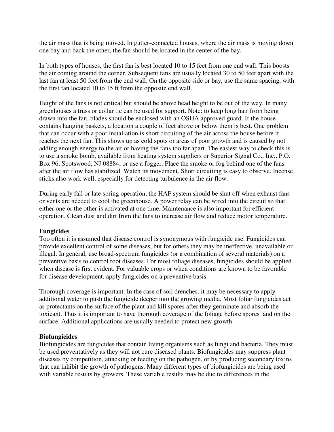the air mass that is being moved. In gutter-connected houses, where the air mass is moving down one bay and back the other, the fan should be located in the center of the bay.

In both types of houses, the first fan is best located 10 to 15 feet from one end wall. This boosts the air coming around the corner. Subsequent fans are usually located 30 to 50 feet apart with the last fan at least 50 feet from the end wall. On the opposite side or bay, use the same spacing, with the first fan located 10 to 15 ft from the opposite end wall.

Height of the fans is not critical but should be above head height to be out of the way. In many greenhouses a truss or collar tie can be used for support. Note: to keep long hair from being drawn into the fan, blades should be enclosed with an OSHA approved guard. If the house contains hanging baskets, a location a couple of feet above or below them is best. One problem that can occur with a poor installation is short circuiting of the air across the house before it reaches the next fan. This shows up as cold spots or areas of poor growth and is caused by not adding enough energy to the air or having the fans too far apart. The easiest way to check this is to use a smoke bomb, available from heating system suppliers or Superior Signal Co., Inc., P.O. Box 96, Spotswood, NJ 08884, or use a fogger. Place the smoke or fog behind one of the fans after the air flow has stabilized. Watch its movement. Short circuiting is easy to observe. Incense sticks also work well, especially for detecting turbulence in the air flow.

During early fall or late spring operation, the HAF system should be shut off when exhaust fans or vents are needed to cool the greenhouse. A power relay can be wired into the circuit so that either one or the other is activated at one time. Maintenance is also important for efficient operation. Clean dust and dirt from the fans to increase air flow and reduce motor temperature.

### **Fungicides**

Too often it is assumed that disease control is synonymous with fungicide use. Fungicides can provide excellent control of some diseases, but for others they may be ineffective, unavailable or illegal. In general, use broad-spectrum fungicides (or a combination of several materials) on a preventive basis to control root diseases. For most foliage diseases, fungicides should be applied when disease is first evident. For valuable crops or when conditions are known to be favorable for disease development, apply fungicides on a preventive basis.

Thorough coverage is important. In the case of soil drenches, it may be necessary to apply additional water to push the fungicide deeper into the growing media. Most foliar fungicides act as protectants on the surface of the plant and kill spores after they germinate and absorb the toxicant. Thus it is important to have thorough coverage of the foliage before spores land on the surface. Additional applications are usually needed to protect new growth.

# **Biofungicides**

Biofungicides are fungicides that contain living organisms such as fungi and bacteria. They must be used preventatively as they will not cure diseased plants. Biofungicides may suppress plant diseases by competition, attacking or feeding on the pathogen, or by producing secondary toxins that can inhibit the growth of pathogens. Many different types of biofungicides are being used with variable results by growers. These variable results may be due to differences in the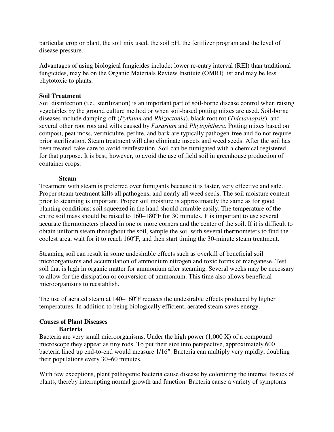particular crop or plant, the soil mix used, the soil pH, the fertilizer program and the level of disease pressure.

Advantages of using biological fungicides include: lower re-entry interval (REI) than traditional fungicides, may be on the Organic Materials Review Institute (OMRI) list and may be less phytotoxic to plants.

### **Soil Treatment**

Soil disinfection (i.e., sterilization) is an important part of soil-borne disease control when raising vegetables by the ground culture method or when soil-based potting mixes are used. Soil-borne diseases include damping-off (*Pythium* and *Rhizoctonia*), black root rot (*Thielaviopsis*), and several other root rots and wilts caused by *Fusarium* and *Phytophthera*. Potting mixes based on compost, peat moss, vermiculite, perlite, and bark are typically pathogen-free and do not require prior sterilization. Steam treatment will also eliminate insects and weed seeds. After the soil has been treated, take care to avoid reinfestation. Soil can be fumigated with a chemical registered for that purpose. It is best, however, to avoid the use of field soil in greenhouse production of container crops.

## **Steam**

Treatment with steam is preferred over fumigants because it is faster, very effective and safe. Proper steam treatment kills all pathogens, and nearly all weed seeds. The soil moisture content prior to steaming is important. Proper soil moisture is approximately the same as for good planting conditions: soil squeezed in the hand should crumble easily. The temperature of the entire soil mass should be raised to 160–180ºF for 30 minutes. It is important to use several accurate thermometers placed in one or more corners and the center of the soil. If it is difficult to obtain uniform steam throughout the soil, sample the soil with several thermometers to find the coolest area, wait for it to reach 160ºF, and then start timing the 30-minute steam treatment.

Steaming soil can result in some undesirable effects such as overkill of beneficial soil microorganisms and accumulation of ammonium nitrogen and toxic forms of manganese. Test soil that is high in organic matter for ammonium after steaming. Several weeks may be necessary to allow for the dissipation or conversion of ammonium. This time also allows beneficial microorganisms to reestablish.

The use of aerated steam at 140–160ºF reduces the undesirable effects produced by higher temperatures. In addition to being biologically efficient, aerated steam saves energy.

#### **Causes of Plant Diseases Bacteria**

Bacteria are very small microorganisms. Under the high power  $(1,000 \text{ X})$  of a compound microscope they appear as tiny rods. To put their size into perspective, approximately 600 bacteria lined up end-to-end would measure 1/16″. Bacteria can multiply very rapidly, doubling their populations every 30–60 minutes.

With few exceptions, plant pathogenic bacteria cause disease by colonizing the internal tissues of plants, thereby interrupting normal growth and function. Bacteria cause a variety of symptoms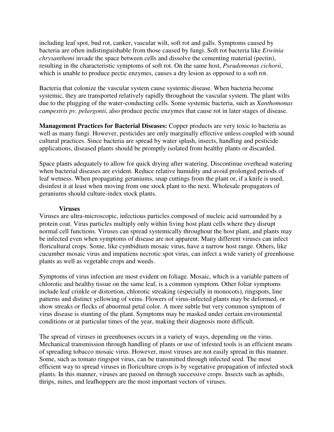including leaf spot, bud rot, canker, vascular wilt, soft rot and galls. Symptoms caused by bacteria are often indistinguishable from those caused by fungi. Soft rot bacteria like *Erwinia chrysanthemi* invade the space between cells and dissolve the cementing material (pectin), resulting in the characteristic symptoms of soft rot. On the same host, *Pseudomonas cichorii*, which is unable to produce pectic enzymes, causes a dry lesion as opposed to a soft rot.

Bacteria that colonize the vascular system cause systemic disease. When bacteria become systemic, they are transported relatively rapidly throughout the vascular system. The plant wilts due to the plugging of the water-conducting cells. Some systemic bacteria, such as *Xanthomonas campestris pv. pelargonii*, also produce pectic enzymes that cause rot in later stages of disease.

**Management Practices for Bacterial Diseases:** Copper products are very toxic to bacteria as well as many fungi. However, pesticides are only marginally effective unless coupled with sound cultural practices. Since bacteria are spread by water splash, insects, handling and pesticide applications, diseased plants should be promptly isolated from healthy plants or discarded.

Space plants adequately to allow for quick drying after watering. Discontinue overhead watering when bacterial diseases are evident. Reduce relative humidity and avoid prolonged periods of leaf wetness. When propagating geraniums, snap cuttings from the plant or, if a knife is used, disinfest it at least when moving from one stock plant to the next. Wholesale propagators of geraniums should culture-index stock plants.

#### **Viruses**

Viruses are ultra-microscopic, infectious particles composed of nucleic acid surrounded by a protein coat. Virus particles multiply only within living host plant cells where they disrupt normal cell functions. Viruses can spread systemically throughout the host plant, and plants may be infected even when symptoms of disease are not apparent. Many different viruses can infect floricultural crops. Some, like cymbidium mosaic virus, have a narrow host range. Others, like cucumber mosaic virus and impatiens necrotic spot virus, can infect a wide variety of greenhouse plants as well as vegetable crops and weeds.

Symptoms of virus infection are most evident on foliage. Mosaic, which is a variable pattern of chlorotic and healthy tissue on the same leaf, is a common symptom. Other foliar symptoms include leaf crinkle or distortion, chlorotic streaking (especially in monocots), ringspots, line patterns and distinct yellowing of veins. Flowers of virus-infected plants may be deformed, or show streaks or flecks of abnormal petal color. A more subtle but very common symptom of virus disease is stunting of the plant. Symptoms may be masked under certain environmental conditions or at particular times of the year, making their diagnosis more difficult.

The spread of viruses in greenhouses occurs in a variety of ways, depending on the virus. Mechanical transmission through handling of plants or use of infested tools is an efficient means of spreading tobacco mosaic virus. However, most viruses are not easily spread in this manner. Some, such as tomato ringspot virus, can be transmitted through infected seed. The most efficient way to spread viruses in floriculture crops is by vegetative propagation of infected stock plants. In this manner, viruses are passed on through successive crops. Insects such as aphids, thrips, mites, and leafhoppers are the most important vectors of viruses.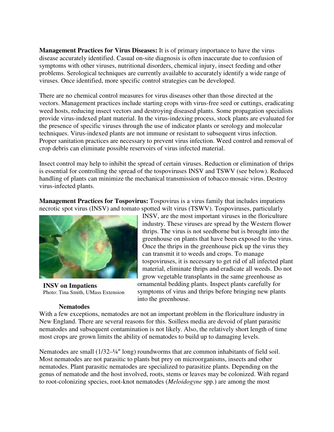**Management Practices for Virus Diseases:** It is of primary importance to have the virus disease accurately identified. Casual on-site diagnosis is often inaccurate due to confusion of symptoms with other viruses, nutritional disorders, chemical injury, insect feeding and other problems. Serological techniques are currently available to accurately identify a wide range of viruses. Once identified, more specific control strategies can be developed.

There are no chemical control measures for virus diseases other than those directed at the vectors. Management practices include starting crops with virus-free seed or cuttings, eradicating weed hosts, reducing insect vectors and destroying diseased plants. Some propagation specialists provide virus-indexed plant material. In the virus-indexing process, stock plants are evaluated for the presence of specific viruses through the use of indicator plants or serology and molecular techniques. Virus-indexed plants are not immune or resistant to subsequent virus infection. Proper sanitation practices are necessary to prevent virus infection. Weed control and removal of crop debris can eliminate possible reservoirs of virus infected material.

Insect control may help to inhibit the spread of certain viruses. Reduction or elimination of thrips is essential for controlling the spread of the tospoviruses INSV and TSWV (see below). Reduced handling of plants can minimize the mechanical transmission of tobacco mosaic virus. Destroy virus-infected plants.

**Management Practices for Tospovirus:** Tospovirus is a virus family that includes impatiens necrotic spot virus (INSV) and tomato spotted wilt virus (TSWV). Tospoviruses, particularly



**INSV on Impatiens**  Photo: Tina Smith, UMass Extension

#### **Nematodes**

INSV, are the most important viruses in the floriculture industry. These viruses are spread by the Western flower thrips. The virus is not seedborne but is brought into the greenhouse on plants that have been exposed to the virus. Once the thrips in the greenhouse pick up the virus they can transmit it to weeds and crops. To manage tospoviruses, it is necessary to get rid of all infected plant material, eliminate thrips and eradicate all weeds. Do not grow vegetable transplants in the same greenhouse as ornamental bedding plants. Inspect plants carefully for symptoms of virus and thrips before bringing new plants into the greenhouse.

With a few exceptions, nematodes are not an important problem in the floriculture industry in New England. There are several reasons for this. Soilless media are devoid of plant parasitic nematodes and subsequent contamination is not likely. Also, the relatively short length of time most crops are grown limits the ability of nematodes to build up to damaging levels.

Nematodes are small (1/32–¼″ long) roundworms that are common inhabitants of field soil. Most nematodes are not parasitic to plants but prey on microorganisms, insects and other nematodes. Plant parasitic nematodes are specialized to parasitize plants. Depending on the genus of nematode and the host involved, roots, stems or leaves may be colonized. With regard to root-colonizing species, root-knot nematodes (*Meloidogyne* spp.) are among the most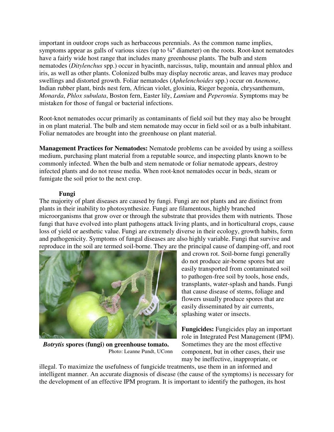important in outdoor crops such as herbaceous perennials. As the common name implies, symptoms appear as galls of various sizes (up to ¼" diameter) on the roots. Root-knot nematodes have a fairly wide host range that includes many greenhouse plants. The bulb and stem nematodes (*Ditylenchus* spp.) occur in hyacinth, narcissus, tulip, mountain and annual phlox and iris, as well as other plants. Colonized bulbs may display necrotic areas, and leaves may produce swellings and distorted growth. Foliar nematodes (*Aphelenchoides* spp.) occur on *Anemone*, Indian rubber plant, birds nest fern, African violet, gloxinia, Rieger begonia, chrysanthemum, *Monarda*, *Phlox subulata*, Boston fern, Easter lily, *Lamium* and *Peperomia*. Symptoms may be mistaken for those of fungal or bacterial infections.

Root-knot nematodes occur primarily as contaminants of field soil but they may also be brought in on plant material. The bulb and stem nematode may occur in field soil or as a bulb inhabitant. Foliar nematodes are brought into the greenhouse on plant material.

**Management Practices for Nematodes:** Nematode problems can be avoided by using a soilless medium, purchasing plant material from a reputable source, and inspecting plants known to be commonly infected. When the bulb and stem nematode or foliar nematode appears, destroy infected plants and do not reuse media. When root-knot nematodes occur in beds, steam or fumigate the soil prior to the next crop.

## **Fungi**

The majority of plant diseases are caused by fungi. Fungi are not plants and are distinct from plants in their inability to photosynthesize. Fungi are filamentous, highly branched microorganisms that grow over or through the substrate that provides them with nutrients. Those fungi that have evolved into plant pathogens attack living plants, and in horticultural crops, cause loss of yield or aesthetic value. Fungi are extremely diverse in their ecology, growth habits, form and pathogenicity. Symptoms of fungal diseases are also highly variable. Fungi that survive and reproduce in the soil are termed soil-borne. They are the principal cause of damping-off, and root



*Botrytis* **spores (fungi) on greenhouse tomato.**  Photo: Leanne Pundt, UConn

and crown rot. Soil-borne fungi generally do not produce air-borne spores but are easily transported from contaminated soil to pathogen-free soil by tools, hose ends, transplants, water-splash and hands. Fungi that cause disease of stems, foliage and flowers usually produce spores that are easily disseminated by air currents, splashing water or insects.

**Fungicides:** Fungicides play an important role in Integrated Pest Management (IPM). Sometimes they are the most effective component, but in other cases, their use may be ineffective, inappropriate, or

illegal. To maximize the usefulness of fungicide treatments, use them in an informed and intelligent manner. An accurate diagnosis of disease (the cause of the symptoms) is necessary for the development of an effective IPM program. It is important to identify the pathogen, its host